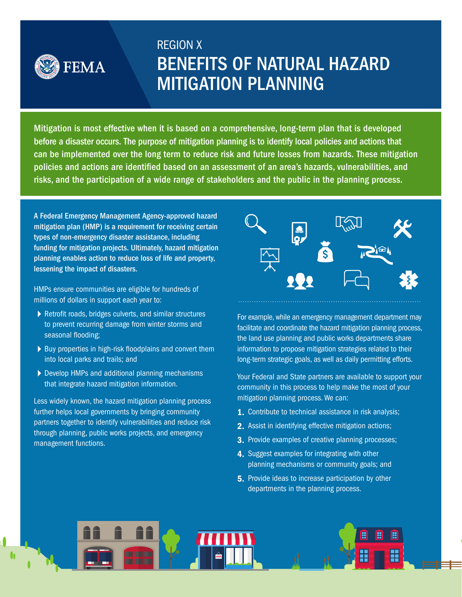

# REGION X BENEFITS OF NATURAL HAZARD MITIGATION PLANNING

Mitigation is most effective when it is based on a comprehensive, long-term plan that is developed before a disaster occurs. The purpose of mitigation planning is to identify local policies and actions that can be implemented over the long term to reduce risk and future losses from hazards. These mitigation policies and actions are identified based on an assessment of an area's hazards, vulnerabilities, and risks, and the participation of a wide range of stakeholders and the public in the planning process.

A Federal Emergency Management Agency-approved hazard mitigation plan (HMP) is a requirement for receiving certain types of non-emergency disaster assistance, including funding for mitigation projects. Ultimately, hazard mitigation planning enables action to reduce loss of life and property, lessening the impact of disasters.

HMPs ensure communities are eligible for hundreds of millions of dollars in support each year to:

- $\blacktriangleright$  Retrofit roads, bridges culverts, and similar structures to prevent recurring damage from winter storms and seasonal flooding;
- $\triangleright$  Buy properties in high-risk floodplains and convert them into local parks and trails; and
- ▶ Develop HMPs and additional planning mechanisms that integrate hazard mitigation information.

Less widely known, the hazard mitigation planning process further helps local governments by bringing community partners together to identify vulnerabilities and reduce risk through planning, public works projects, and emergency management functions.



For example, while an emergency management department may facilitate and coordinate the hazard mitigation planning process, the land use planning and public works departments share information to propose mitigation strategies related to their long-term strategic goals, as well as daily permitting efforts.

Your Federal and State partners are available to support your community in this process to help make the most of your mitigation planning process. We can:

- 1. Contribute to technical assistance in risk analysis;
- 2. Assist in identifying effective mitigation actions;
- **3.** Provide examples of creative planning processes;
- 4. Suggest examples for integrating with other planning mechanisms or community goals; and
- **5.** Provide ideas to increase participation by other departments in the planning process.

罰 H H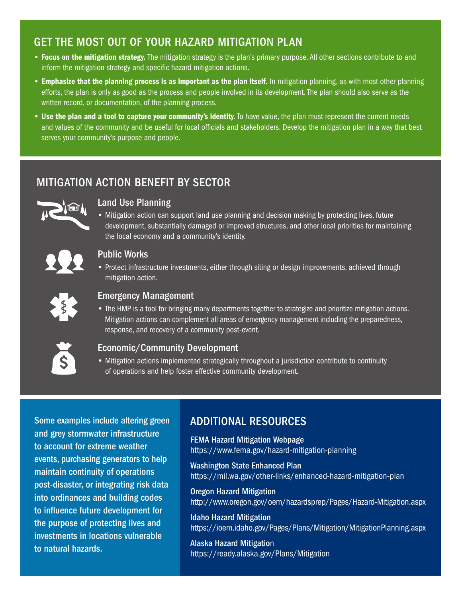## GET THE MOST OUT OF YOUR HAZARD MITIGATION PLAN

- Focus on the mitigation strategy. The mitigation strategy is the plan's primary purpose. All other sections contribute to and inform the mitigation strategy and specific hazard mitigation actions.
- Emphasize that the planning process is as important as the plan itself. In mitigation planning, as with most other planning efforts, the plan is only as good as the process and people involved in its development. The plan should also serve as the written record, or documentation, of the planning process.
- Use the plan and a tool to capture your community's identity. To have value, the plan must represent the current needs and values of the community and be useful for local officials and stakeholders. Develop the mitigation plan in a way that best serves your community's purpose and people.

# MITIGATION ACTION BENEFIT BY SECTOR



## **Land Use Planning**

• Mitigation action can support land use planning and decision making by protecting lives, future development, substantially damaged or improved structures, and other local priorities for maintaining the local economy and a community's identity.



### Public Works

• Protect infrastructure investments, either through siting or design improvements, achieved through mitigation action.



#### Emergency Management

• The HMP is a tool for bringing many departments together to strategize and prioritize mitigation actions. Mitigation actions can complement all areas of emergency management including the preparedness, response, and recovery of a community post-event.



### Economic/Community Development

• Mitigation actions implemented strategically throughout a jurisdiction contribute to continuity of operations and help foster effective community development.

Some examples include altering green and grey stormwater infrastructure to account for extreme weather events, purchasing generators to help maintain continuity of operations post-disaster, or integrating risk data into ordinances and building codes to influence future development for the purpose of protecting lives and investments in locations vulnerable to natural hazards.

## ADDITIONAL RESOURCES

FEMA Hazard Mitigation Webpage https://www.fema.gov/hazard-mitigation-planning

Washington State Enhanced Plan https://mil.wa.gov/other-links/enhanced-hazard-mitigation-plan

Oregon Hazard Mitigation http://www.oregon.gov/oem/hazardsprep/Pages/Hazard-Mitigation.aspx

Idaho Hazard Mitigation https://ioem.idaho.gov/Pages/Plans/Mitigation/MitigationPlanning.aspx

Alaska Hazard Mitigation https://ready.alaska.gov/Plans/Mitigation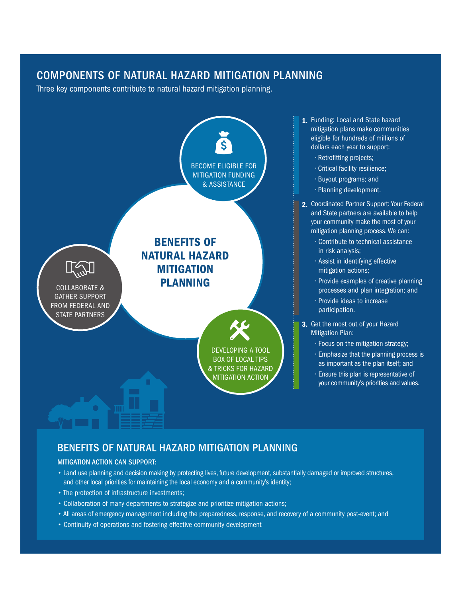## COMPONENTS OF NATURAL HAZARD MITIGATION PLANNING

Three key components contribute to natural hazard mitigation planning.



## BENEFITS OF NATURAL HAZARD MITIGATION PLANNING

#### MITIGATION ACTION CAN SUPPORT:

- Land use planning and decision making by protecting lives, future development, substantially damaged or improved structures, and other local priorities for maintaining the local economy and a community's identity;
- The protection of infrastructure investments;
- Collaboration of many departments to strategize and prioritize mitigation actions;
- All areas of emergency management including the preparedness, response, and recovery of a community post-event; and
- Continuity of operations and fostering effective community development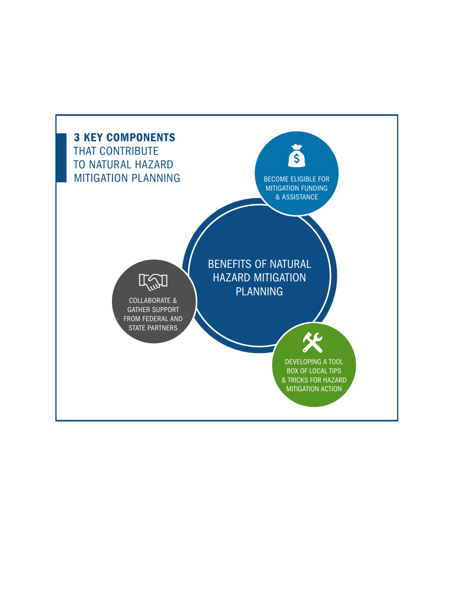